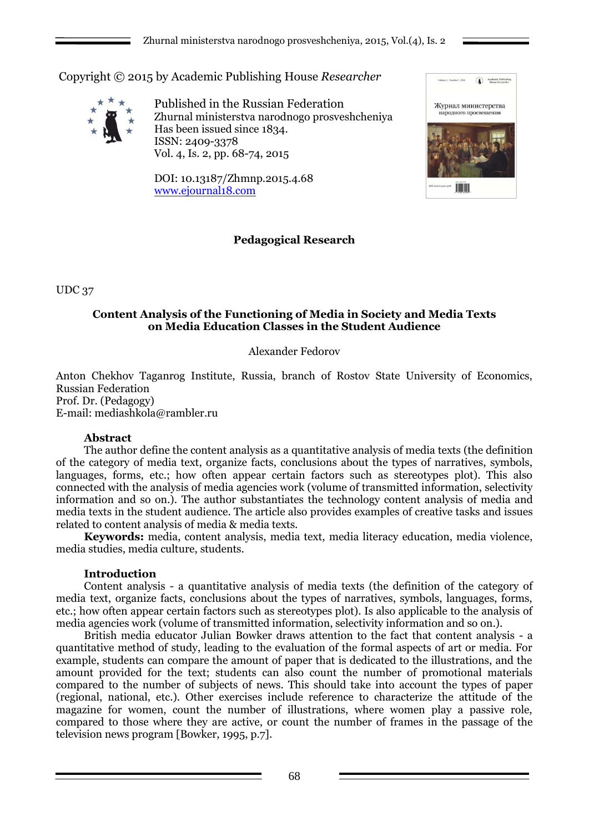Copyright © 2015 by Academic Publishing House *Researcher*



Published in the Russian Federation Zhurnal ministerstva narodnogo prosveshcheniya Has been issued since 1834. ISSN: 2409-3378 Vol. 4, Is. 2, pp. 68-74, 2015

DOI: 10.13187/Zhmnp.2015.4.68 [www.ejournal18.com](http://www.ejournal18.com/)



# **Pedagogical Research**

UDC 37

## **Content Analysis of the Functioning of Media in Society and Media Texts on Media Education Classes in the Student Audience**

# Alexander Fedorov

Anton Chekhov Taganrog Institute, Russia, branch of Rostov State University of Economics, Russian Federation Prof. Dr. (Pedagogy)

E-mail: mediashkola@rambler.ru

### **Abstract**

The author define the content analysis as a quantitative analysis of media texts (the definition of the category of media text, organize facts, conclusions about the types of narratives, symbols, languages, forms, etc.; how often appear certain factors such as stereotypes plot). This also connected with the analysis of media agencies work (volume of transmitted information, selectivity information and so on.). The author substantiates the technology content analysis of media and media texts in the student audience. The article also provides examples of creative tasks and issues related to content analysis of media & media texts.

**Keywords:** media, content analysis, media text, media literacy education, media violence, media studies, media culture, students.

# **Introduction**

Content analysis - a quantitative analysis of media texts (the definition of the category of media text, organize facts, conclusions about the types of narratives, symbols, languages, forms, etc.; how often appear certain factors such as stereotypes plot). Is also applicable to the analysis of media agencies work (volume of transmitted information, selectivity information and so on.).

British media educator Julian Bowker draws attention to the fact that content analysis - a quantitative method of study, leading to the evaluation of the formal aspects of art or media. For example, students can compare the amount of paper that is dedicated to the illustrations, and the amount provided for the text; students can also count the number of promotional materials compared to the number of subjects of news. This should take into account the types of paper (regional, national, etc.). Other exercises include reference to characterize the attitude of the magazine for women, count the number of illustrations, where women play a passive role, compared to those where they are active, or count the number of frames in the passage of the television news program [Bowker, 1995, p.7].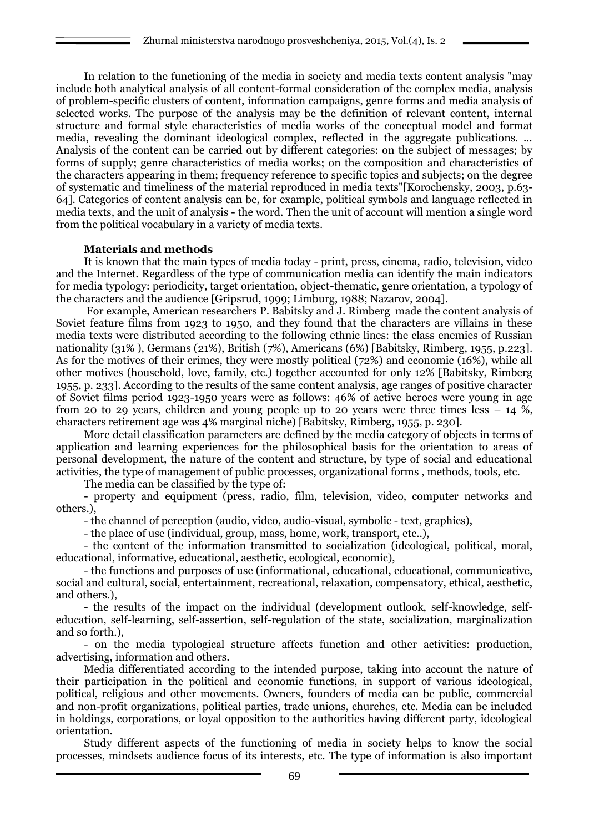In relation to the functioning of the media in society and media texts content analysis "may include both analytical analysis of all content-formal consideration of the complex media, analysis of problem-specific clusters of content, information campaigns, genre forms and media analysis of selected works. The purpose of the analysis may be the definition of relevant content, internal structure and formal style characteristics of media works of the conceptual model and format media, revealing the dominant ideological complex, reflected in the aggregate publications. ... Analysis of the content can be carried out by different categories: on the subject of messages; by forms of supply; genre characteristics of media works; on the composition and characteristics of the characters appearing in them; frequency reference to specific topics and subjects; on the degree of systematic and timeliness of the material reproduced in media texts"[Korochensky, 2003, p.63- 64]. Categories of content analysis can be, for example, political symbols and language reflected in media texts, and the unit of analysis - the word. Then the unit of account will mention a single word from the political vocabulary in a variety of media texts.

### **Materials and methods**

It is known that the main types of media today - print, press, cinema, radio, television, video and the Internet. Regardless of the type of communication media can identify the main indicators for media typology: periodicity, target orientation, object-thematic, genre orientation, a typology of the characters and the audience [Gripsrud, 1999; Limburg, 1988; Nazarov, 2004].

For example, American researchers P. Babitsky and J. Rimberg made the content analysis of Soviet feature films from 1923 to 1950, and they found that the characters are villains in these media texts were distributed according to the following ethnic lines: the class enemies of Russian nationality (31% ), Germans (21%), British (7%), Americans (6%) [Babitsky, Rimberg, 1955, p.223]. As for the motives of their crimes, they were mostly political (72%) and economic (16%), while all other motives (household, love, family, etc.) together accounted for only 12% [Babitsky, Rimberg 1955, p. 233]. According to the results of the same content analysis, age ranges of positive character of Soviet films period 1923-1950 years were as follows: 46% of active heroes were young in age from 20 to 29 years, children and young people up to 20 years were three times less  $-14\%$ , characters retirement age was 4% marginal niche) [Babitsky, Rimberg, 1955, p. 230].

More detail classification parameters are defined by the media category of objects in terms of application and learning experiences for the philosophical basis for the orientation to areas of personal development, the nature of the content and structure, by type of social and educational activities, the type of management of public processes, organizational forms , methods, tools, etc.

The media can be classified by the type of:

- property and equipment (press, radio, film, television, video, computer networks and others.),

- the channel of perception (audio, video, audio-visual, symbolic - text, graphics),

- the place of use (individual, group, mass, home, work, transport, etc..),

- the content of the information transmitted to socialization (ideological, political, moral, educational, informative, educational, aesthetic, ecological, economic),

- the functions and purposes of use (informational, educational, educational, communicative, social and cultural, social, entertainment, recreational, relaxation, compensatory, ethical, aesthetic, and others.),

- the results of the impact on the individual (development outlook, self-knowledge, selfeducation, self-learning, self-assertion, self-regulation of the state, socialization, marginalization and so forth.),

- on the media typological structure affects function and other activities: production, advertising, information and others.

Media differentiated according to the intended purpose, taking into account the nature of their participation in the political and economic functions, in support of various ideological, political, religious and other movements. Owners, founders of media can be public, commercial and non-profit organizations, political parties, trade unions, churches, etc. Media can be included in holdings, corporations, or loyal opposition to the authorities having different party, ideological orientation.

Study different aspects of the functioning of media in society helps to know the social processes, mindsets audience focus of its interests, etc. The type of information is also important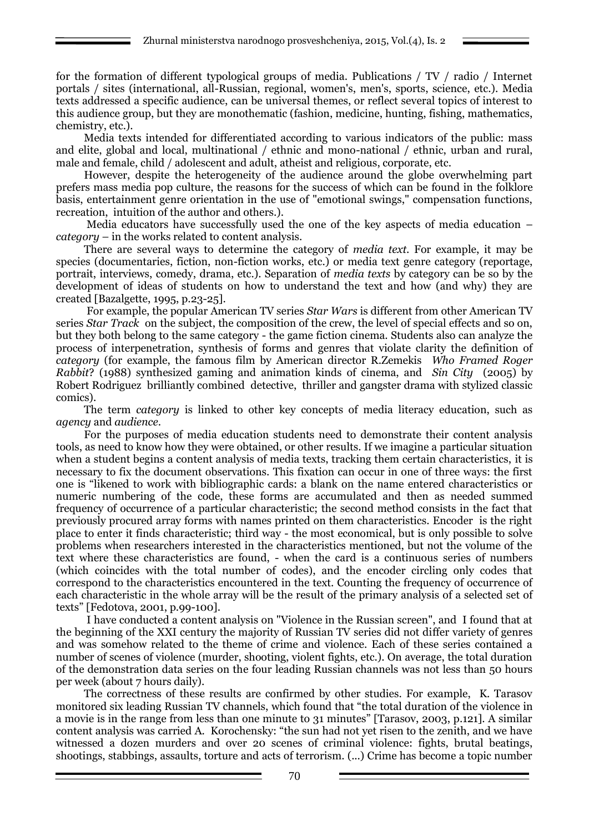for the formation of different typological groups of media. Publications / TV / radio / Internet portals / sites (international, all-Russian, regional, women's, men's, sports, science, etc.). Media texts addressed a specific audience, can be universal themes, or reflect several topics of interest to this audience group, but they are monothematic (fashion, medicine, hunting, fishing, mathematics, chemistry, etc.).

Media texts intended for differentiated according to various indicators of the public: mass and elite, global and local, multinational / ethnic and mono-national / ethnic, urban and rural, male and female, child / adolescent and adult, atheist and religious, corporate, etc.

However, despite the heterogeneity of the audience around the globe overwhelming part prefers mass media pop culture, the reasons for the success of which can be found in the folklore basis, entertainment genre orientation in the use of "emotional swings," compensation functions, recreation, intuition of the author and others.).

Media educators have successfully used the one of the key aspects of media education – *category –* in the works related to content analysis.

There are several ways to determine the category of *media text*. For example, it may be species (documentaries, fiction, non-fiction works, etc.) or media text genre category (reportage, portrait, interviews, comedy, drama, etc.). Separation of *media texts* by category can be so by the development of ideas of students on how to understand the text and how (and why) they are created [Bazalgette, 1995, p.23-25].

For example, the popular American TV series *Star Wars* is different from other American TV series *Star Track* on the subject, the composition of the crew, the level of special effects and so on, but they both belong to the same category - the game fiction cinema. Students also can analyze the process of interpenetration, synthesis of forms and genres that violate clarity the definition of *category* (for example, the famous film by American director R.Zemekis *Who Framed Roger Rabbit*? (1988) synthesized gaming and animation kinds of cinema, and *Sin City* (2005) by Robert Rodriguez brilliantly combined detective, thriller and gangster drama with stylized classic comics).

The term *category* is linked to other key concepts of media literacy education, such as *agency* and *audience*.

For the purposes of media education students need to demonstrate their content analysis tools, as need to know how they were obtained, or other results. If we imagine a particular situation when a student begins a content analysis of media texts, tracking them certain characteristics, it is necessary to fix the document observations. This fixation can occur in one of three ways: the first one is "likened to work with bibliographic cards: a blank on the name entered characteristics or numeric numbering of the code, these forms are accumulated and then as needed summed frequency of occurrence of a particular characteristic; the second method consists in the fact that previously procured array forms with names printed on them characteristics. Encoder is the right place to enter it finds characteristic; third way - the most economical, but is only possible to solve problems when researchers interested in the characteristics mentioned, but not the volume of the text where these characteristics are found, - when the card is a continuous series of numbers (which coincides with the total number of codes), and the encoder circling only codes that correspond to the characteristics encountered in the text. Counting the frequency of occurrence of each characteristic in the whole array will be the result of the primary analysis of a selected set of texts" [Fedotova, 2001, p.99-100].

I have conducted a content analysis on "Violence in the Russian screen", and I found that at the beginning of the XXI century the majority of Russian TV series did not differ variety of genres and was somehow related to the theme of crime and violence. Each of these series contained a number of scenes of violence (murder, shooting, violent fights, etc.). On average, the total duration of the demonstration data series on the four leading Russian channels was not less than 50 hours per week (about 7 hours daily).

The correctness of these results are confirmed by other studies. For example, K. Tarasov monitored six leading Russian TV channels, which found that "the total duration of the violence in a movie is in the range from less than one minute to 31 minutes" [Tarasov, 2003, p.121]. A similar content analysis was carried A. Korochensky: "the sun had not yet risen to the zenith, and we have witnessed a dozen murders and over 20 scenes of criminal violence: fights, brutal beatings, shootings, stabbings, assaults, torture and acts of terrorism. (...) Crime has become a topic number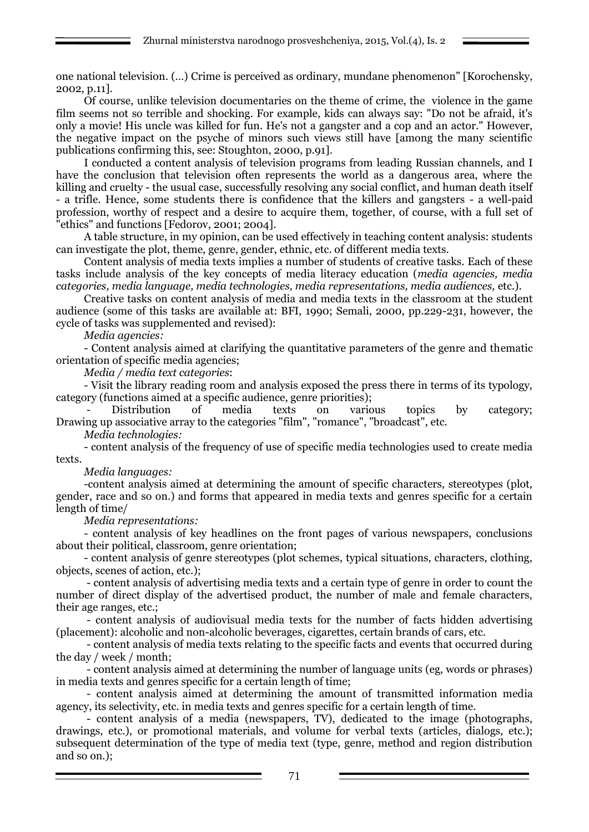one national television. (…) Crime is perceived as ordinary, mundane phenomenon" [Korochensky, 2002, p.11].

Of course, unlike television documentaries on the theme of crime, the violence in the game film seems not so terrible and shocking. For example, kids can always say: "Do not be afraid, it's only a movie! His uncle was killed for fun. He's not a gangster and a cop and an actor." However, the negative impact on the psyche of minors such views still have [among the many scientific publications confirming this, see: Stoughton, 2000, p.91].

I conducted a content analysis of television programs from leading Russian channels, and I have the conclusion that television often represents the world as a dangerous area, where the killing and cruelty - the usual case, successfully resolving any social conflict, and human death itself - a trifle. Hence, some students there is confidence that the killers and gangsters - a well-paid profession, worthy of respect and a desire to acquire them, together, of course, with a full set of "ethics" and functions [Fedorov, 2001; 2004].

A table structure, in my opinion, can be used effectively in teaching content analysis: students can investigate the plot, theme, genre, gender, ethnic, etc. of different media texts.

Content analysis of media texts implies a number of students of creative tasks. Each of these tasks include analysis of the key concepts of media literacy education (*media agencies, media categories, media language, media technologies, media representations, media audiences,* etc.).

Creative tasks on content analysis of media and media texts in the classroom at the student audience (some of this tasks are available at: BFI, 1990; Semali, 2000, pp.229-231, however, the cycle of tasks was supplemented and revised):

*Media agencies:*

- Content analysis aimed at clarifying the quantitative parameters of the genre and thematic orientation of specific media agencies;

*Media / media text categories*:

- Visit the library reading room and analysis exposed the press there in terms of its typology, category (functions aimed at a specific audience, genre priorities);

Distribution of media texts on various topics by category; Drawing up associative array to the categories "film", "romance", "broadcast", etc.

*Media technologies:*

- content analysis of the frequency of use of specific media technologies used to create media texts.

### *Media languages:*

-content analysis aimed at determining the amount of specific characters, stereotypes (plot, gender, race and so on.) and forms that appeared in media texts and genres specific for a certain length of time/

*Media representations:*

- content analysis of key headlines on the front pages of various newspapers, conclusions about their political, classroom, genre orientation;

- content analysis of genre stereotypes (plot schemes, typical situations, characters, clothing, objects, scenes of action, etc.);

- content analysis of advertising media texts and a certain type of genre in order to count the number of direct display of the advertised product, the number of male and female characters, their age ranges, etc.;

- content analysis of audiovisual media texts for the number of facts hidden advertising (placement): alcoholic and non-alcoholic beverages, cigarettes, certain brands of cars, etc.

- content analysis of media texts relating to the specific facts and events that occurred during the day / week / month;

- content analysis aimed at determining the number of language units (eg, words or phrases) in media texts and genres specific for a certain length of time;

- content analysis aimed at determining the amount of transmitted information media agency, its selectivity, etc. in media texts and genres specific for a certain length of time.

- content analysis of a media (newspapers, TV), dedicated to the image (photographs, drawings, etc.), or promotional materials, and volume for verbal texts (articles, dialogs, etc.); subsequent determination of the type of media text (type, genre, method and region distribution and so on.);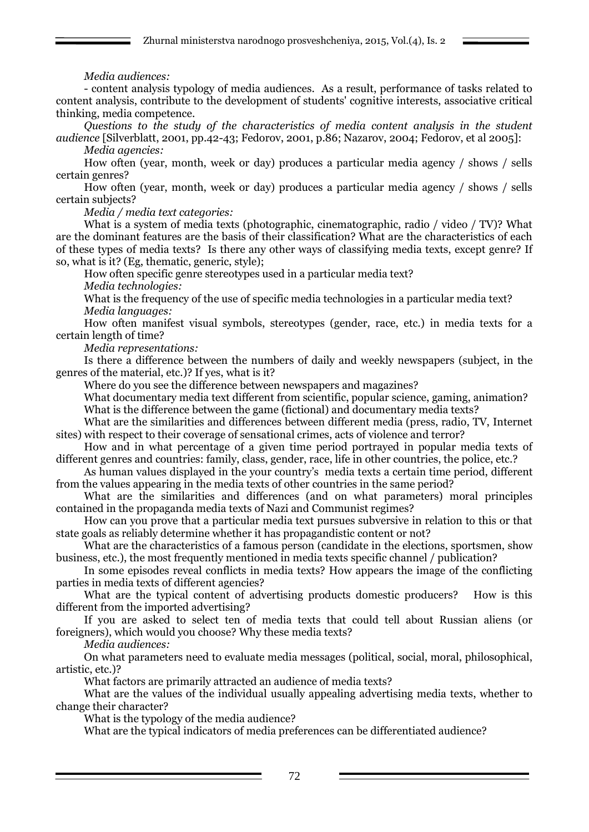## *Media audiences:*

- content analysis typology of media audiences. As a result, performance of tasks related to content analysis, contribute to the development of students' cognitive interests, associative critical thinking, media competence.

*Questions to the study of the characteristics of media content analysis in the student audience* [Silverblatt, 2001, pp.42-43; Fedorov, 2001, p.86; Nazarov, 2004; Fedorov, et al 2005]:

*Media agencies:*

How often (year, month, week or day) produces a particular media agency / shows / sells certain genres?

How often (year, month, week or day) produces a particular media agency / shows / sells certain subjects?

*Media / media text categories:*

What is a system of media texts (photographic, cinematographic, radio / video / TV)? What are the dominant features are the basis of their classification? What are the characteristics of each of these types of media texts? Is there any other ways of classifying media texts, except genre? If so, what is it? (Eg, thematic, generic, style);

How often specific genre stereotypes used in a particular media text?

*Media technologies:*

What is the frequency of the use of specific media technologies in a particular media text? *Media languages:*

How often manifest visual symbols, stereotypes (gender, race, etc.) in media texts for a certain length of time?

*Media representations:*

Is there a difference between the numbers of daily and weekly newspapers (subject, in the genres of the material, etc.)? If yes, what is it?

Where do you see the difference between newspapers and magazines?

What documentary media text different from scientific, popular science, gaming, animation? What is the difference between the game (fictional) and documentary media texts?

What are the similarities and differences between different media (press, radio, TV, Internet sites) with respect to their coverage of sensational crimes, acts of violence and terror?

How and in what percentage of a given time period portrayed in popular media texts of different genres and countries: family, class, gender, race, life in other countries, the police, etc.?

As human values displayed in the your country's media texts a certain time period, different from the values appearing in the media texts of other countries in the same period?

What are the similarities and differences (and on what parameters) moral principles contained in the propaganda media texts of Nazi and Communist regimes?

How can you prove that a particular media text pursues subversive in relation to this or that state goals as reliably determine whether it has propagandistic content or not?

What are the characteristics of a famous person (candidate in the elections, sportsmen, show business, etc.), the most frequently mentioned in media texts specific channel / publication?

In some episodes reveal conflicts in media texts? How appears the image of the conflicting parties in media texts of different agencies?

What are the typical content of advertising products domestic producers? How is this different from the imported advertising?

If you are asked to select ten of media texts that could tell about Russian aliens (or foreigners), which would you choose? Why these media texts?

*Media audiences:*

On what parameters need to evaluate media messages (political, social, moral, philosophical, artistic, etc.)?

What factors are primarily attracted an audience of media texts?

What are the values of the individual usually appealing advertising media texts, whether to change their character?

What is the typology of the media audience?

What are the typical indicators of media preferences can be differentiated audience?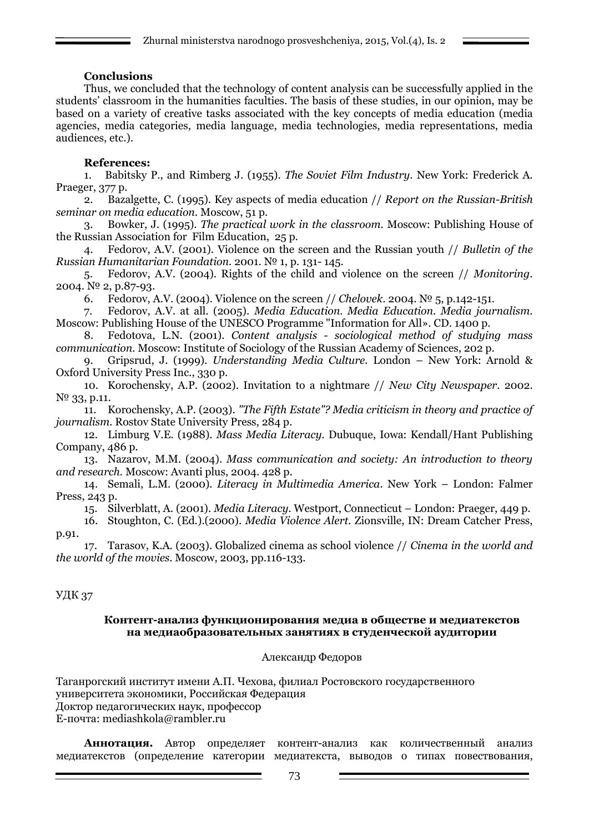## **Conclusions**

Thus, we concluded that the technology of content analysis can be successfully applied in the students' classroom in the humanities faculties. The basis of these studies, in our opinion, may be based on a variety of creative tasks associated with the key concepts of media education (media agencies, media categories, media language, media technologies, media representations, media audiences, etc.).

## **References:**

1. Babitsky P., and Rimberg J. (1955). *The Soviet Film Industry*. New York: Frederick A. Praeger, 377 p.

2. Bazalgette, C. (1995). Key aspects of media education // *Report on the Russian-British seminar on media education.* Moscow, 51 p.

3. Bowker, J. (1995). *The practical work in the classroom.* Moscow: Publishing House of the Russian Association for Film Education, 25 p.

4. Fedorov, A.V. (2001). Violence on the screen and the Russian youth // *Bulletin of the Russian Humanitarian Foundation.* 2001. № 1, p. 131- 145.

5. Fedorov, A.V. (2004). Rights of the child and violence on the screen // *Monitoring*. 2004. № 2, p.87-93.

6. Fedorov, A.V. (2004). Violence on the screen // *Chelovek*. 2004. № 5, p.142-151.

7. Fedorov, A.V. at all. (2005). *Media Education. Media Education. Media journalism.* Moscow: Publishing House of the UNESCO Programme "Information for All». CD. 1400 p.

8. Fedotova, L.N. (2001). *Content analysis - sociological method of studying mass communication.* Moscow: Institute of Sociology of the Russian Academy of Sciences, 202 p.

9. Gripsrud, J. (1999). *Understanding Media Culture.* London – New York: Arnold & Oxford University Press Inc., 330 p.

10. Korochensky, A.P. (2002). Invitation to a nightmare // *New City Newspaper*. 2002. N<sup>o</sup> 33, p.11.

11. Korochensky, A.P. (2003). *"The Fifth Estate"? Media criticism in theory and practice of journalism.* Rostov State University Press, 284 p.

12. Limburg V.E. (1988). *Mass Media Literacy.* Dubuque, Iowa: Kendall/Hant Publishing Company, 486 p.

13. Nazarov, M.M. (2004). *Mass communication and society: An introduction to theory and research.* Moscow: Avanti plus, 2004. 428 p.

14. Semali, L.M. (2000). *Literacy in Multimedia America.* New York – London: Falmer Press, 243 p.

15. Silverblatt, A. (2001). *Media Literacy.* Westport, Connecticut – London: Praeger, 449 p.

16. Stoughton, C. (Ed.).(2000). *Media Violence Alert.* Zionsville, IN: Dream Catcher Press, p.91.

17. Tarasov, K.A. (2003). Globalized cinema as school violence // *Cinema in the world and the world of the movies.* Moscow, 2003, pp.116-133.

# УДК 37

#### **Контент-анализ функционирования медиа в обществе и медиатекстов на медиаобразовательных занятиях в студенческой аудитории**

### Александр Федоров

Таганрогский институт имени А.П. Чехова, филиал Ростовского государственного университета экономики, Российская Федерация Доктор педагогических наук, профессор E-почта: mediashkola@rambler.ru

**Аннотация.** Автор определяет контент-анализ как количественный анализ медиатекстов (определение категории медиатекста, выводов о типах повествования,